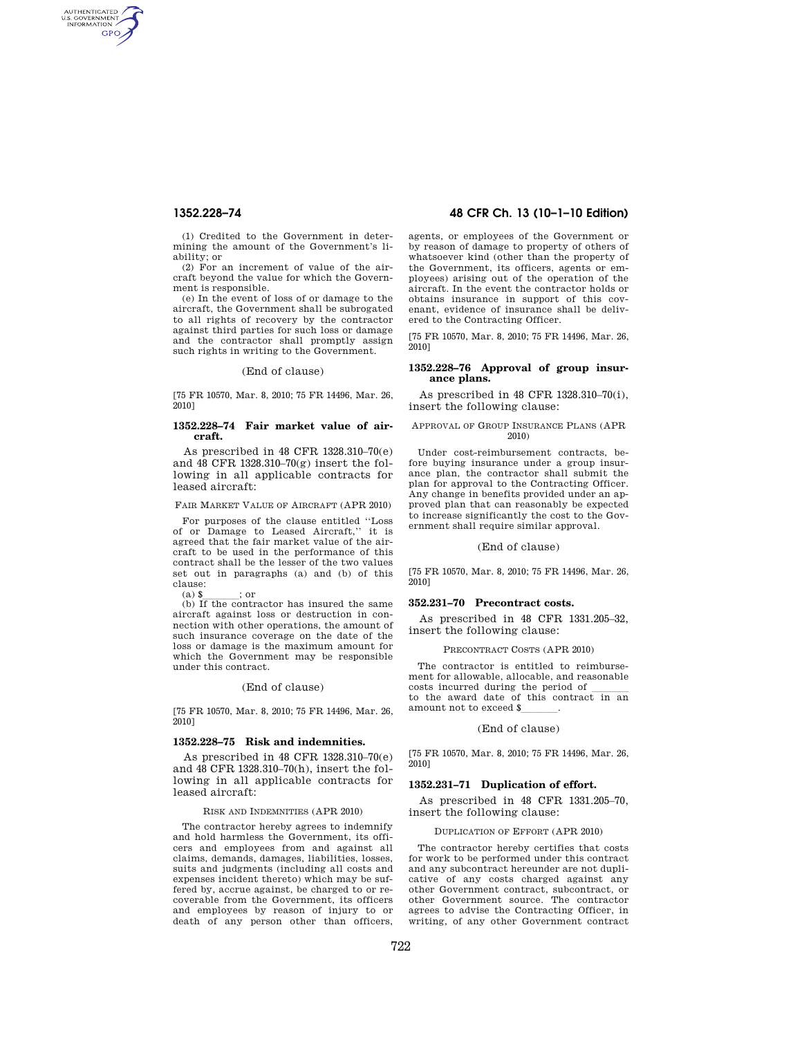AUTHENTICATED<br>U.S. GOVERNMENT<br>INFORMATION **GPO** 

> (1) Credited to the Government in determining the amount of the Government's liability; or

> (2) For an increment of value of the aircraft beyond the value for which the Government is responsible.

> (e) In the event of loss of or damage to the aircraft, the Government shall be subrogated to all rights of recovery by the contractor against third parties for such loss or damage and the contractor shall promptly assign such rights in writing to the Government.

#### (End of clause)

[75 FR 10570, Mar. 8, 2010; 75 FR 14496, Mar. 26,  $2010$ ]

### **1352.228–74 Fair market value of aircraft.**

As prescribed in 48 CFR 1328.310–70(e) and 48 CFR 1328.310–70(g) insert the following in all applicable contracts for leased aircraft:

## FAIR MARKET VALUE OF AIRCRAFT (APR 2010)

For purposes of the clause entitled ''Loss of or Damage to Leased Aircraft,'' it is agreed that the fair market value of the aircraft to be used in the performance of this contract shall be the lesser of the two values set out in paragraphs (a) and (b) of this clause:

(a)  $\frac{\gamma}{\gamma}$  ; or (b) If the contractor has insured the same aircraft against loss or destruction in connection with other operations, the amount of such insurance coverage on the date of the loss or damage is the maximum amount for which the Government may be responsible under this contract.

#### (End of clause)

[75 FR 10570, Mar. 8, 2010; 75 FR 14496, Mar. 26, 2010]

#### **1352.228–75 Risk and indemnities.**

As prescribed in 48 CFR 1328.310–70(e) and 48 CFR 1328.310–70(h), insert the following in all applicable contracts for leased aircraft:

#### RISK AND INDEMNITIES (APR 2010)

The contractor hereby agrees to indemnify and hold harmless the Government, its officers and employees from and against all claims, demands, damages, liabilities, losses, suits and judgments (including all costs and expenses incident thereto) which may be suffered by, accrue against, be charged to or recoverable from the Government, its officers and employees by reason of injury to or death of any person other than officers,

## **1352.228–74 48 CFR Ch. 13 (10–1–10 Edition)**

agents, or employees of the Government or by reason of damage to property of others of whatsoever kind (other than the property of the Government, its officers, agents or employees) arising out of the operation of the aircraft. In the event the contractor holds or obtains insurance in support of this covenant, evidence of insurance shall be delivered to the Contracting Officer.

[75 FR 10570, Mar. 8, 2010; 75 FR 14496, Mar. 26, 2010]

## **1352.228–76 Approval of group insurance plans.**

As prescribed in 48 CFR 1328.310–70(i), insert the following clause:

#### APPROVAL OF GROUP INSURANCE PLANS (APR 2010)

Under cost-reimbursement contracts, before buying insurance under a group insurance plan, the contractor shall submit the plan for approval to the Contracting Officer. Any change in benefits provided under an approved plan that can reasonably be expected to increase significantly the cost to the Government shall require similar approval.

(End of clause)

[75 FR 10570, Mar. 8, 2010; 75 FR 14496, Mar. 26, 2010]

#### **352.231–70 Precontract costs.**

As prescribed in 48 CFR 1331.205–32, insert the following clause:

#### PRECONTRACT COSTS (APR 2010)

The contractor is entitled to reimbursement for allowable, allocable, and reasonable costs incurred during the period of llll to the award date of this contract in an amount not to exceed \$

#### (End of clause)

[75 FR 10570, Mar. 8, 2010; 75 FR 14496, Mar. 26, 2010]

#### **1352.231–71 Duplication of effort.**

As prescribed in 48 CFR 1331.205–70, insert the following clause:

#### DUPLICATION OF EFFORT (APR 2010)

The contractor hereby certifies that costs for work to be performed under this contract and any subcontract hereunder are not duplicative of any costs charged against any other Government contract, subcontract, or other Government source. The contractor agrees to advise the Contracting Officer, in writing, of any other Government contract